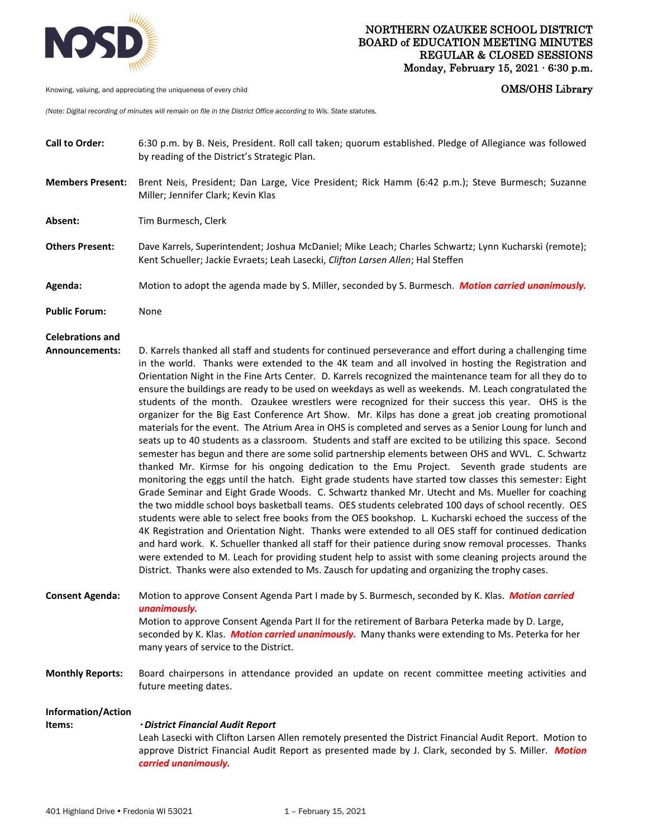

Knowing, valuing, and appreciating the uniqueness of every child **COMS COMS COMS COMS COMS COMS** 

*(Note: Digital recording of minutes will remain on file in the District Office according to Wis. State statutes.* 

**Call to Order:** 6:30 p.m. by B. Neis, President. Roll call taken; quorum established. Pledge of Allegiance was followed by reading of the District's Strategic Plan. **Members Present:** Brent Neis, President; Dan Large, Vice President; Rick Hamm (6:42 p.m.); Steve Burmesch; Suzanne Miller; Jennifer Clark; Kevin Klas **Absent:** Tim Burmesch, Clerk **Others Present:** Dave Karrels, Superintendent; Joshua McDaniel; Mike Leach; Charles Schwartz; Lynn Kucharski (remote); Kent Schueller; Jackie Evraets; Leah Lasecki, *Clifton Larsen Allen*; Hal Steffen **Agenda:** Motion to adopt the agenda made by S. Miller, seconded by S. Burmesch. *Motion carried unanimously.* **Public Forum:** None **Celebrations and Announcements:** D. Karrels thanked all staff and students for continued perseverance and effort during a challenging time in the world. Thanks were extended to the 4K team and all involved in hosting the Registration and Orientation Night in the Fine Arts Center. D. Karrels recognized the maintenance team for all they do to ensure the buildings are ready to be used on weekdays as well as weekends. M. Leach congratulated the students of the month. Ozaukee wrestlers were recognized for their success this year. OHS is the organizer for the Big East Conference Art Show. Mr. Kilps has done a great job creating promotional materials for the event. The Atrium Area in OHS is completed and serves as a Senior Loung for lunch and seats up to 40 students as a classroom. Students and staff are excited to be utilizing this space. Second semester has begun and there are some solid partnership elements between OHS and WVL. C. Schwartz thanked Mr. Kirmse for his ongoing dedication to the Emu Project. Seventh grade students are monitoring the eggs until the hatch. Eight grade students have started tow classes this semester: Eight Grade Seminar and Eight Grade Woods. C. Schwartz thanked Mr. Utecht and Ms. Mueller for coaching the two middle school boys basketball teams. OES students celebrated 100 days of school recently. OES students were able to select free books from the OES bookshop. L. Kucharski echoed the success of the 4K Registration and Orientation Night. Thanks were extended to all OES staff for continued dedication and hard work. K. Schueller thanked all staff for their patience during snow removal processes. Thanks were extended to M. Leach for providing student help to assist with some cleaning projects around the District. Thanks were also extended to Ms. Zausch for updating and organizing the trophy cases. **Consent Agenda:** Motion to approve Consent Agenda Part I made by S. Burmesch, seconded by K. Klas. *Motion carried unanimously.*  Motion to approve Consent Agenda Part II for the retirement of Barbara Peterka made by D. Large, seconded by K. Klas. *Motion carried unanimously.* Many thanks were extending to Ms. Peterka for her many years of service to the District. **Monthly Reports:** Board chairpersons in attendance provided an update on recent committee meeting activities and future meeting dates. **Information/Action Items:**  *District Financial Audit Report*  Leah Lasecki with Clifton Larsen Allen remotely presented the District Financial Audit Report. Motion to approve District Financial Audit Report as presented made by J. Clark, seconded by S. Miller. *Motion carried unanimously.*